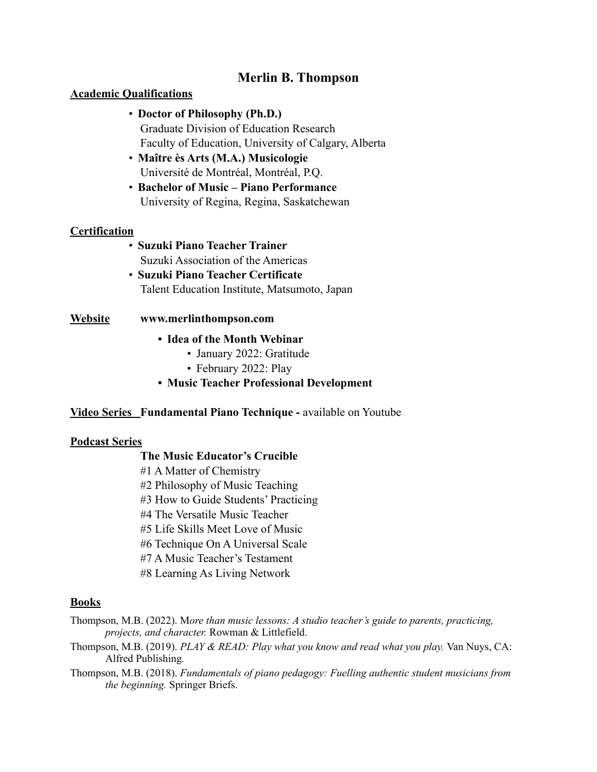## **Merlin B. Thompson**

## **Academic Qualifications**

- **Doctor of Philosophy (Ph.D.)** Graduate Division of Education Research Faculty of Education, University of Calgary, Alberta
- **Maître ès Arts (M.A.) Musicologie** Université de Montréal, Montréal, P.Q.
- **Bachelor of Music Piano Performance** University of Regina, Regina, Saskatchewan

## **Certification**

- **Suzuki Piano Teacher Trainer** Suzuki Association of the Americas
- **Suzuki Piano Teacher Certificate** Talent Education Institute, Matsumoto, Japan

## **Website www.merlinthompson.com**

- **• Idea of the Month Webinar**
	- January 2022: Gratitude
	- February 2022: Play
- **• Music Teacher Professional Development**

## **Video Series Fundamental Piano Technique -** available on Youtube

#### **Podcast Series**

#### **The Music Educator's Crucible**

- #1 A Matter of Chemistry
- #2 Philosophy of Music Teaching
- #3 How to Guide Students' Practicing
- #4 The Versatile Music Teacher
- #5 Life Skills Meet Love of Music
- #6 Technique On A Universal Scale
- #7 A Music Teacher's Testament
- #8 Learning As Living Network

### **Books**

Thompson, M.B. (2022). M*ore than music lessons: A studio teacher's guide to parents, practicing, projects, and character.* Rowman & Littlefield.

- Thompson, M.B. (2019). *PLAY & READ: Play what you know and read what you play.* Van Nuys, CA: Alfred Publishing*.*
- Thompson, M.B. (2018). *Fundamentals of piano pedagogy: Fuelling authentic student musicians from the beginning.* Springer Briefs.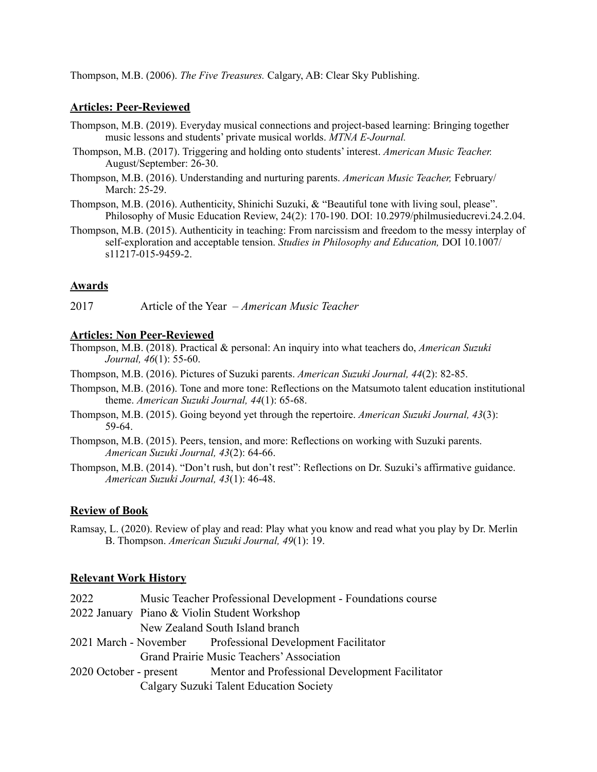Thompson, M.B. (2006). *The Five Treasures.* Calgary, AB: Clear Sky Publishing.

### **Articles: Peer-Reviewed**

- Thompson, M.B. (2019). Everyday musical connections and project-based learning: Bringing together music lessons and students' private musical worlds. *MTNA E-Journal.*
- Thompson, M.B. (2017). Triggering and holding onto students' interest. *American Music Teacher.*  August/September: 26-30.
- Thompson, M.B. (2016). Understanding and nurturing parents. *American Music Teacher,* February/ March: 25-29.
- Thompson, M.B. (2016). Authenticity, Shinichi Suzuki, & "Beautiful tone with living soul, please". Philosophy of Music Education Review, 24(2): 170-190. DOI: 10.2979/philmusieducrevi.24.2.04.
- Thompson, M.B. (2015). Authenticity in teaching: From narcissism and freedom to the messy interplay of self-exploration and acceptable tension. *Studies in Philosophy and Education,* DOI 10.1007/ s11217-015-9459-2.

## **Awards**

2017 Article of the Year – *American Music Teacher*

#### **Articles: Non Peer-Reviewed**

Thompson, M.B. (2018). Practical & personal: An inquiry into what teachers do, *American Suzuki Journal, 46*(1): 55-60.

- Thompson, M.B. (2016). Pictures of Suzuki parents. *American Suzuki Journal, 44*(2): 82-85.
- Thompson, M.B. (2016). Tone and more tone: Reflections on the Matsumoto talent education institutional theme. *American Suzuki Journal, 44*(1): 65-68.
- Thompson, M.B. (2015). Going beyond yet through the repertoire. *American Suzuki Journal, 43*(3): 59-64.
- Thompson, M.B. (2015). Peers, tension, and more: Reflections on working with Suzuki parents. *American Suzuki Journal, 43*(2): 64-66.
- Thompson, M.B. (2014). "Don't rush, but don't rest": Reflections on Dr. Suzuki's affirmative guidance. *American Suzuki Journal, 43*(1): 46-48.

## **Review of Book**

Ramsay, L. (2020). Review of play and read: Play what you know and read what you play by Dr. Merlin B. Thompson. *American Suzuki Journal, 49*(1): 19.

#### **Relevant Work History**

- 2022 Music Teacher Professional Development Foundations course
- 2022 January Piano & Violin Student Workshop
	- New Zealand South Island branch
- 2021 March November Professional Development Facilitator

Grand Prairie Music Teachers' Association

2020 October - present Mentor and Professional Development Facilitator Calgary Suzuki Talent Education Society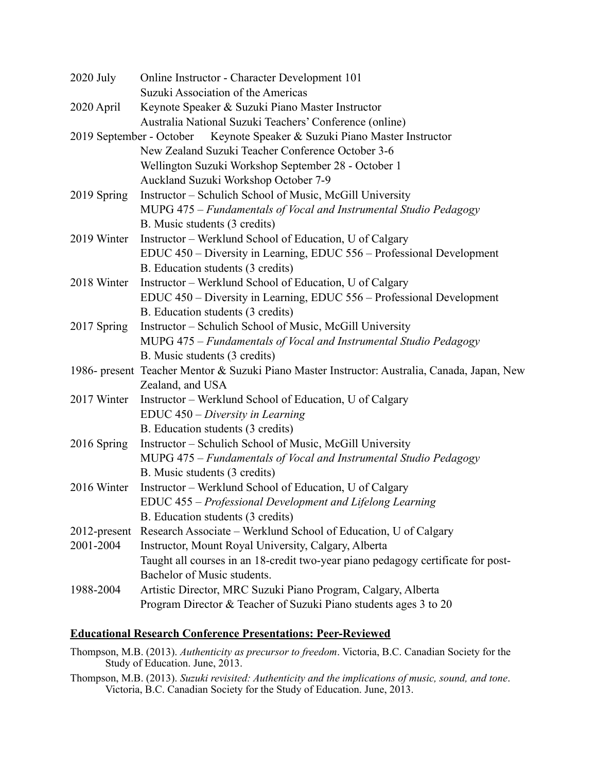| $2020$ July                                                               | Online Instructor - Character Development 101                                                |
|---------------------------------------------------------------------------|----------------------------------------------------------------------------------------------|
|                                                                           | Suzuki Association of the Americas                                                           |
| 2020 April                                                                | Keynote Speaker & Suzuki Piano Master Instructor                                             |
|                                                                           | Australia National Suzuki Teachers' Conference (online)                                      |
| 2019 September - October Keynote Speaker & Suzuki Piano Master Instructor |                                                                                              |
|                                                                           | New Zealand Suzuki Teacher Conference October 3-6                                            |
|                                                                           | Wellington Suzuki Workshop September 28 - October 1                                          |
|                                                                           | Auckland Suzuki Workshop October 7-9                                                         |
| 2019 Spring                                                               | Instructor – Schulich School of Music, McGill University                                     |
|                                                                           | MUPG 475 – Fundamentals of Vocal and Instrumental Studio Pedagogy                            |
|                                                                           | B. Music students (3 credits)                                                                |
| 2019 Winter                                                               | Instructor – Werklund School of Education, U of Calgary                                      |
|                                                                           | EDUC 450 - Diversity in Learning, EDUC 556 - Professional Development                        |
|                                                                           | B. Education students (3 credits)                                                            |
| 2018 Winter                                                               | Instructor – Werklund School of Education, U of Calgary                                      |
|                                                                           | EDUC 450 – Diversity in Learning, EDUC 556 – Professional Development                        |
|                                                                           | B. Education students (3 credits)                                                            |
| 2017 Spring                                                               | Instructor – Schulich School of Music, McGill University                                     |
|                                                                           | MUPG 475 – Fundamentals of Vocal and Instrumental Studio Pedagogy                            |
|                                                                           | B. Music students (3 credits)                                                                |
|                                                                           | 1986- present Teacher Mentor & Suzuki Piano Master Instructor: Australia, Canada, Japan, New |
|                                                                           | Zealand, and USA                                                                             |
| 2017 Winter                                                               | Instructor – Werklund School of Education, U of Calgary                                      |
|                                                                           | EDUC 450 – Diversity in Learning                                                             |
|                                                                           | B. Education students (3 credits)                                                            |
| 2016 Spring                                                               | Instructor – Schulich School of Music, McGill University                                     |
|                                                                           | MUPG 475 – Fundamentals of Vocal and Instrumental Studio Pedagogy                            |
|                                                                           | B. Music students (3 credits)                                                                |
| 2016 Winter                                                               | Instructor - Werklund School of Education, U of Calgary                                      |
|                                                                           | EDUC 455 - Professional Development and Lifelong Learning                                    |
|                                                                           | B. Education students (3 credits)                                                            |
| 2012-present                                                              | Research Associate - Werklund School of Education, U of Calgary                              |
| 2001-2004                                                                 | Instructor, Mount Royal University, Calgary, Alberta                                         |
|                                                                           | Taught all courses in an 18-credit two-year piano pedagogy certificate for post-             |
|                                                                           | Bachelor of Music students.                                                                  |
| 1988-2004                                                                 | Artistic Director, MRC Suzuki Piano Program, Calgary, Alberta                                |
|                                                                           | Program Director & Teacher of Suzuki Piano students ages 3 to 20                             |

# **Educational Research Conference Presentations: Peer-Reviewed**

Thompson, M.B. (2013). *Authenticity as precursor to freedom*. Victoria, B.C. Canadian Society for the Study of Education. June, 2013.

Thompson, M.B. (2013). *Suzuki revisited: Authenticity and the implications of music, sound, and tone*. Victoria, B.C. Canadian Society for the Study of Education. June, 2013.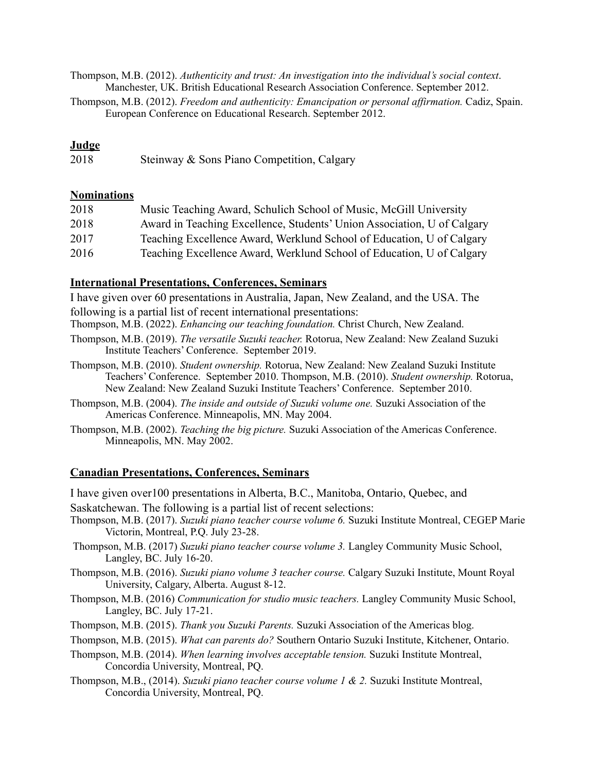Thompson, M.B. (2012). *Authenticity and trust: An investigation into the individual's social context*. Manchester, UK. British Educational Research Association Conference. September 2012.

Thompson, M.B. (2012). *Freedom and authenticity: Emancipation or personal affirmation.* Cadiz, Spain. European Conference on Educational Research. September 2012.

## **Judge**

2018 Steinway & Sons Piano Competition, Calgary

## **Nominations**

| 2018 | Music Teaching Award, Schulich School of Music, McGill University       |
|------|-------------------------------------------------------------------------|
| 2018 | Award in Teaching Excellence, Students' Union Association, U of Calgary |
| 2017 | Teaching Excellence Award, Werklund School of Education, U of Calgary   |
| 2016 | Teaching Excellence Award, Werklund School of Education, U of Calgary   |

## **International Presentations, Conferences, Seminars**

I have given over 60 presentations in Australia, Japan, New Zealand, and the USA. The following is a partial list of recent international presentations:

Thompson, M.B. (2022). *Enhancing our teaching foundation.* Christ Church, New Zealand.

- Thompson, M.B. (2019). *The versatile Suzuki teacher.* Rotorua, New Zealand: New Zealand Suzuki Institute Teachers' Conference. September 2019.
- Thompson, M.B. (2010). *Student ownership.* Rotorua, New Zealand: New Zealand Suzuki Institute Teachers' Conference. September 2010. Thompson, M.B. (2010). *Student ownership.* Rotorua, New Zealand: New Zealand Suzuki Institute Teachers' Conference. September 2010.
- Thompson, M.B. (2004). *The inside and outside of Suzuki volume one.* Suzuki Association of the Americas Conference. Minneapolis, MN. May 2004.
- Thompson, M.B. (2002). *Teaching the big picture.* Suzuki Association of the Americas Conference. Minneapolis, MN. May 2002.

## **Canadian Presentations, Conferences, Seminars**

I have given over100 presentations in Alberta, B.C., Manitoba, Ontario, Quebec, and Saskatchewan. The following is a partial list of recent selections:

Thompson, M.B. (2017). *Suzuki piano teacher course volume 6.* Suzuki Institute Montreal, CEGEP Marie Victorin, Montreal, P.Q. July 23-28.

Thompson, M.B. (2017) *Suzuki piano teacher course volume 3.* Langley Community Music School, Langley, BC. July 16-20.

Thompson, M.B. (2016). *Suzuki piano volume 3 teacher course.* Calgary Suzuki Institute, Mount Royal University, Calgary, Alberta. August 8-12.

Thompson, M.B. (2016) *Communication for studio music teachers.* Langley Community Music School, Langley, BC. July 17-21.

Thompson, M.B. (2015). *Thank you Suzuki Parents.* Suzuki Association of the Americas blog.

Thompson, M.B. (2015). *What can parents do?* Southern Ontario Suzuki Institute, Kitchener, Ontario.

- Thompson, M.B. (2014). *When learning involves acceptable tension.* Suzuki Institute Montreal, Concordia University, Montreal, PQ.
- Thompson, M.B., (2014). *Suzuki piano teacher course volume 1 & 2.* Suzuki Institute Montreal, Concordia University, Montreal, PQ.